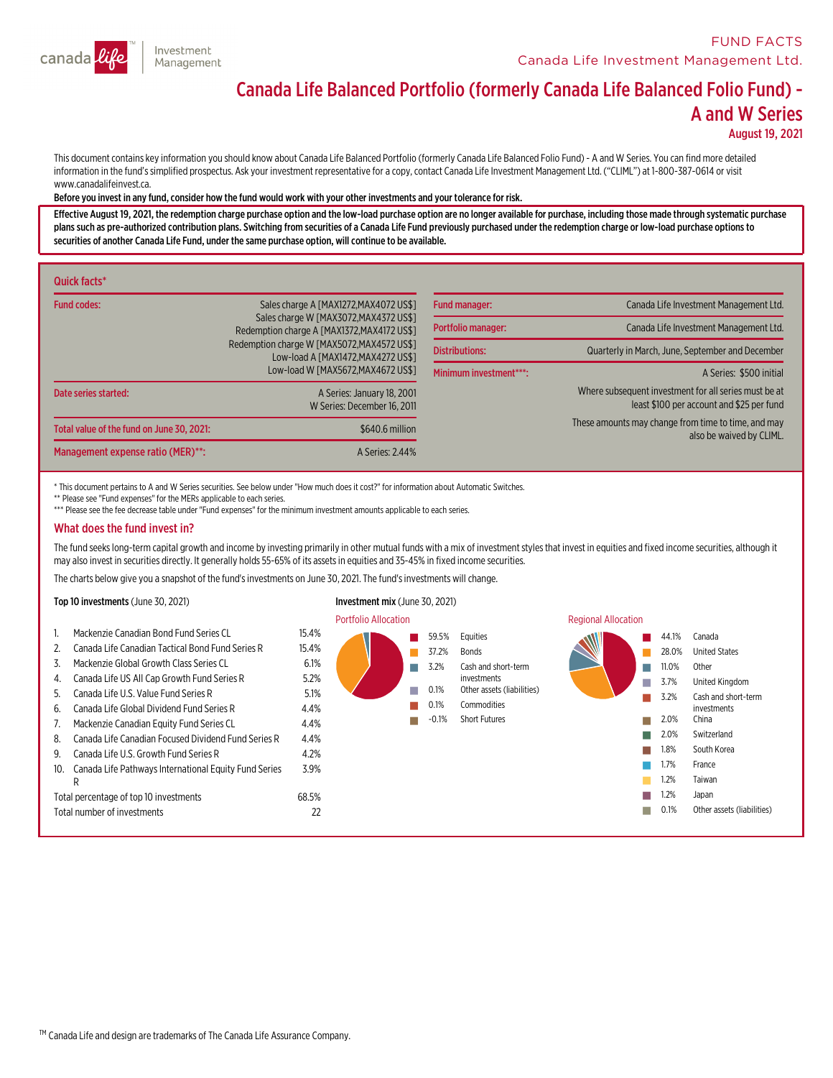

# Canada Life Balanced Portfolio (formerly Canada Life Balanced Folio Fund) - A and <sup>W</sup> Series

August 19, 2021

This document contains key information you should know about Canada Life Balanced Portfolio (formerly Canada Life Balanced Folio Fund) - A and W Series. You can find more detailed information in the fund's simplified prospectus. Ask your investment representative for a copy, contact Canada Life Investment Management Ltd. ("CLIML") at 1-800-387-0614 or visit www.canadalifeinvest.ca.

#### Before you invest in any fund,consider how the fund would work with your other investments and your tolerance for risk.

Effective August 19, 2021, the redemption charge purchase option and the low-load purchase option are no longer available for purchase, including those made through systematic purchase<br>plans such as pre-authorized contribu securities of another Canada Life Fund, under the same purchase option, will continue to be available.

| Quick facts*                              |                                                                                     |                        |                                                                                                    |
|-------------------------------------------|-------------------------------------------------------------------------------------|------------------------|----------------------------------------------------------------------------------------------------|
| Fund codes:                               | Sales charge A [MAX1272, MAX4072 US\$]                                              | <b>Fund manager:</b>   | Canada Life Investment Management Ltd.                                                             |
|                                           | Sales charge W [MAX3072.MAX4372 US\$1<br>Redemption charge A [MAX1372.MAX4172 US\$] | Portfolio manager:     | Canada Life Investment Management Ltd.                                                             |
|                                           | Redemption charge W [MAX5072, MAX4572 US\$]<br>Low-load A [MAX1472.MAX4272 US\$]    | <b>Distributions:</b>  | Quarterly in March, June, September and December                                                   |
|                                           | Low-load W [MAX5672, MAX4672 US\$1                                                  | Minimum investment***: | A Series: \$500 initial                                                                            |
| Date series started:                      | A Series: January 18, 2001<br>W Series: December 16, 2011                           |                        | Where subsequent investment for all series must be at<br>least \$100 per account and \$25 per fund |
| Total value of the fund on June 30, 2021: | \$640.6 million                                                                     |                        | These amounts may change from time to time, and may<br>also be waived by CLIML.                    |
| Management expense ratio (MER)**:         | A Series: 2.44%                                                                     |                        |                                                                                                    |

\* This document pertains to A and W Series securities. See below under "How much does it cost?" for information about Automatic Switches.

\*\* Please see "Fund expenses" for the MERs applicable to each series.

\*\*\* Please see the fee decrease table under "Fund expenses" for the minimum investment amounts applicable to each series.

#### What does the fund invest in?

The fund seeks long-term capital growth and income by investing primarily in other mutual funds with a mix of investment styles that invest in equities and fixed income securities, although it may also invest in securities

The charts below give you a snapshot of the fund's investments on June 30, 2021. The fund's investments will change.

#### Top 10 investments (June 30, 2021) Investment mix (June 30, 2021)

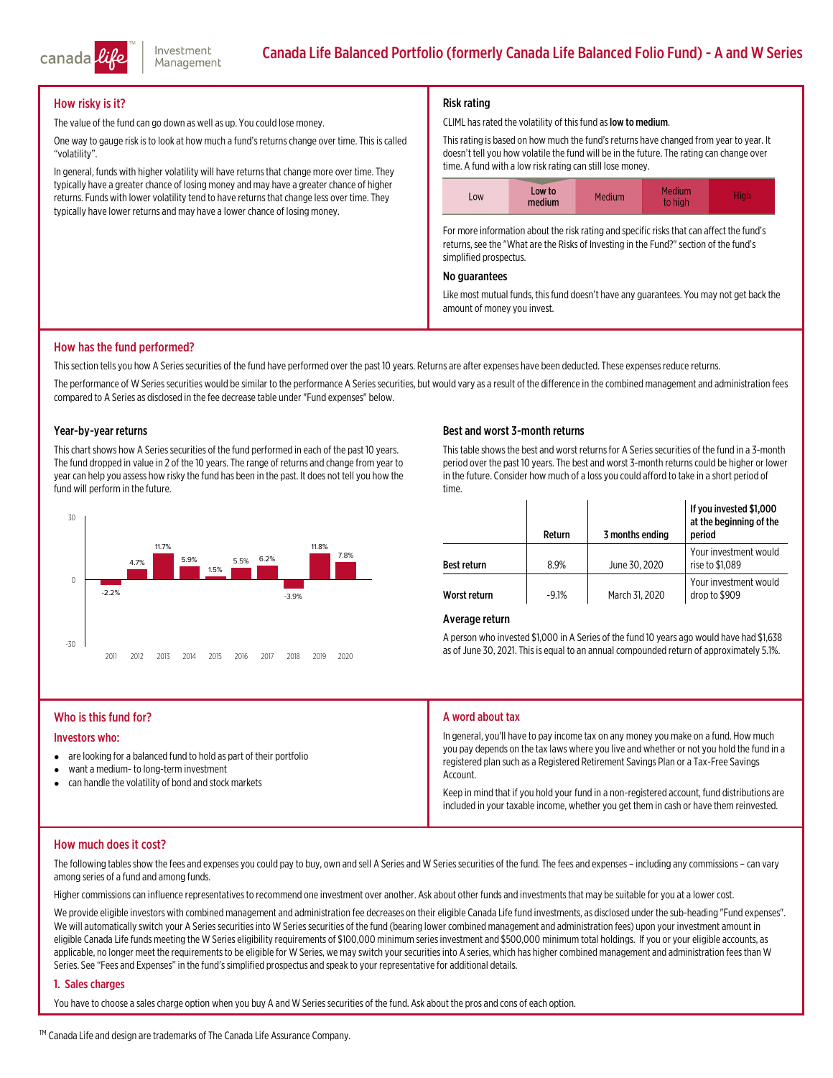

### How risky is it?

The value of the fund can go down as well as up. You could lose money.

One way to gauge risk is to look at how much a fund's returns change over time. This is called "volatility".

In general, funds with higher volatility will have returns that change more over time. They typically have a greater chance of losing money and may have a greater chance of higher returns. Funds with lower volatility tend to have returns that change less over time. They typically have lower returns and may have a lower chance of losing money.

#### Risk rating

#### CLIML has rated the volatility of this fund as low to medium.

Thisrating is based on how much the fund'sreturns have changed fromyear to year. It doesn't tell you how volatile the fund will be in the future. The rating can change over time. A fund with a low risk rating can still lose money.



For more information about the risk rating and specific risks that can affect the fund's returns, see the "What are the Risks of Investing in the Fund?" section of the fund's simplified prospectus.

#### No guarantees

Like most mutual funds, this fund doesn't have any guarantees. You may not get back the amount of money you invest.

#### How has the fund performed?

This section tells you how A Series securities of the fund have performed over the past 10 years. Returns are after expenses have been deducted. These expenses reduce returns.

The performance of W Series securities would be similar to the performance A Series securities, but would vary as a result of the difference in the combined management and administration fees compared to A Series as disclosed in the fee decrease table under "Fund expenses" below.

#### Year-by-year returns

This chart shows how A Series securities of the fund performed in each of the past 10 years.<br>The fund dropped in value in 2 of the 10 years. The range of returns and change from year to<br>year can help you assess how risky t fund will perform in the future.



#### Best and worst 3-month returns

This table shows the best and worst returns for A Series securities of the fund in a 3-month period over the past 10 years. The best and worst 3-month returns could be higher or lower in the future. Consider how much of a loss you could afford to take in a short period of time.

|                    | Return  | 3 months ending | If you invested \$1,000<br>at the beginning of the<br>period |
|--------------------|---------|-----------------|--------------------------------------------------------------|
| <b>Best return</b> | 8.9%    | June 30, 2020   | Your investment would<br>rise to \$1,089                     |
| Worst return       | $-9.1%$ | March 31, 2020  | Your investment would<br>drop to \$909                       |

#### Average return

<sup>A</sup> person who invested \$1,000 in <sup>A</sup> Series of the fund <sup>10</sup> years ago would have had \$1,638 as of June 30, 2021. Thisis equal to an annual compounded return of approximately 5.1%.

#### Who is this fund for?

#### Investors who:

- are looking for a balanced fund to hold as part of their portfolio
- $\bullet$ want a medium- to long-terminvestment
- $\bullet$ can handle the volatility of bond and stock markets

#### A word about tax

In general, you'll have to pay income tax on any money you make on a fund. How much<br>you pay depends on the tax laws where you live and whether or not you hold the fund in a registered plan such as a Registered Retirement Savings Plan or a Tax-Free Savings<br>Account.

Keep in mind that if you hold your fund in a non-registered account, fund distributions are included in your taxable income, whether you get them in cash or have them reinvested.

#### How much does it cost?

The following tables show the fees and expenses you could pay to buy, own and sell A Series and W Series securities of the fund. The fees and expenses – including any commissions – can vary<br>among series of a fund and among

Higher commissionscan influence representativesto recommend one investment over another. Ask about other funds and investmentsthatmay be suitable for you at a lower cost.

We provide eligible investors with combined management and administration fee decreases on their eligible Canada Life fund investments, as disclosed under the sub-heading "Fund expenses".<br>We will automatically switch your

#### 1. Sales charges

You have to choose a sales charge option when you buy A and W Series securities of the fund. Ask about the pros and cons of each option.

™ Canada Life and design are trademarks of The Canada Life Assurance Company.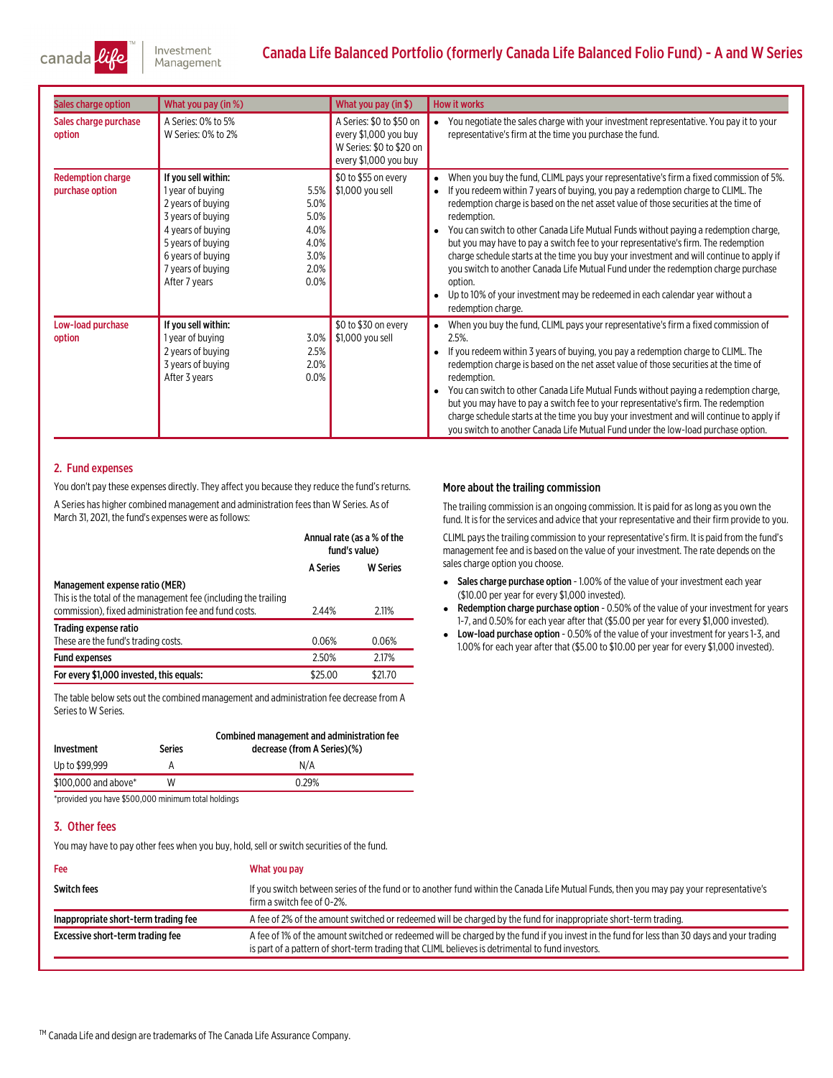

## Canada Life Balanced Portfolio (formerly Canada Life Balanced Folio Fund) - A and W Series

| Sales charge option                         | What you pay (in %)                                                                                                                                                                                                                                    | What you pay (in \$)                                                                                   | <b>How it works</b>                                                                                                                                                                                                                                                                                                                                                                                                                                                                                                                                                                                                                                                                                                                                                              |
|---------------------------------------------|--------------------------------------------------------------------------------------------------------------------------------------------------------------------------------------------------------------------------------------------------------|--------------------------------------------------------------------------------------------------------|----------------------------------------------------------------------------------------------------------------------------------------------------------------------------------------------------------------------------------------------------------------------------------------------------------------------------------------------------------------------------------------------------------------------------------------------------------------------------------------------------------------------------------------------------------------------------------------------------------------------------------------------------------------------------------------------------------------------------------------------------------------------------------|
| Sales charge purchase<br>option             | A Series: 0% to 5%<br>W Series: 0% to 2%                                                                                                                                                                                                               | A Series: \$0 to \$50 on<br>every \$1,000 you buy<br>W Series: \$0 to \$20 on<br>every \$1,000 you buy | You negotiate the sales charge with your investment representative. You pay it to your<br>representative's firm at the time you purchase the fund.                                                                                                                                                                                                                                                                                                                                                                                                                                                                                                                                                                                                                               |
| <b>Redemption charge</b><br>purchase option | If you sell within:<br>5.5%<br>1 year of buying<br>5.0%<br>2 years of buying<br>5.0%<br>3 years of buying<br>4.0%<br>4 years of buying<br>4.0%<br>5 years of buying<br>6 years of buying<br>3.0%<br>2.0%<br>7 years of buying<br>0.0%<br>After 7 years | \$0 to \$55 on every<br>\$1,000 you sell                                                               | When you buy the fund, CLIML pays your representative's firm a fixed commission of 5%.<br>If you redeem within 7 years of buying, you pay a redemption charge to CLIML. The<br>$\bullet$<br>redemption charge is based on the net asset value of those securities at the time of<br>redemption.<br>You can switch to other Canada Life Mutual Funds without paying a redemption charge,<br>but you may have to pay a switch fee to your representative's firm. The redemption<br>charge schedule starts at the time you buy your investment and will continue to apply if<br>you switch to another Canada Life Mutual Fund under the redemption charge purchase<br>option.<br>Up to 10% of your investment may be redeemed in each calendar year without a<br>redemption charge. |
| Low-load purchase<br>option                 | If you sell within:<br>1 year of buying<br>3.0%<br>2 years of buying<br>2.5%<br>2.0%<br>3 years of buying<br>0.0%<br>After 3 years                                                                                                                     | \$0 to \$30 on every<br>\$1,000 you sell                                                               | When you buy the fund, CLIML pays your representative's firm a fixed commission of<br>$2.5%$ .<br>If you redeem within 3 years of buying, you pay a redemption charge to CLIML. The<br>redemption charge is based on the net asset value of those securities at the time of<br>redemption.<br>You can switch to other Canada Life Mutual Funds without paying a redemption charge,<br>but you may have to pay a switch fee to your representative's firm. The redemption<br>charge schedule starts at the time you buy your investment and will continue to apply if<br>you switch to another Canada Life Mutual Fund under the low-load purchase option.                                                                                                                        |

#### 2. Fund expenses

You don't pay these expenses directly. They affect you because they reduce the fund's returns. A Series has higher combined management and administration fees than W Series. As of March 31, 2021, the fund's expenses were as follows:

|                                                                                                                                                            | Annual rate (as a % of the<br>fund's value) |                 |
|------------------------------------------------------------------------------------------------------------------------------------------------------------|---------------------------------------------|-----------------|
|                                                                                                                                                            | <b>A Series</b>                             | <b>W</b> Series |
| Management expense ratio (MER)<br>This is the total of the management fee (including the trailing<br>commission), fixed administration fee and fund costs. | 2.44%                                       | 2.11%           |
| Trading expense ratio<br>These are the fund's trading costs.                                                                                               | 0.06%                                       | 0.06%           |
| <b>Fund expenses</b>                                                                                                                                       | 2.50%                                       | 2.17%           |
| For every \$1,000 invested, this equals:                                                                                                                   | \$25.00                                     | \$21.70         |

The table below sets out the combined management and administration fee decrease from A Series.

| Investment           | Series | Combined management and administration fee<br>decrease (from A Series)(%) |
|----------------------|--------|---------------------------------------------------------------------------|
| Up to \$99.999       |        | N/A                                                                       |
| \$100,000 and above* | W      | 0.29%                                                                     |

\*provided you have \$500,000 minimum total holdings

#### 3. Other fees

You may have to pay other fees when you buy, hold, sell or switch securities of the fund.

| Fee                                  | What you pay                                                                                                                                                                                                                                    |
|--------------------------------------|-------------------------------------------------------------------------------------------------------------------------------------------------------------------------------------------------------------------------------------------------|
| <b>Switch fees</b>                   | If you switch between series of the fund or to another fund within the Canada Life Mutual Funds, then you may pay your representative's<br>firm a switch fee of 0-2%.                                                                           |
| Inappropriate short-term trading fee | A fee of 2% of the amount switched or redeemed will be charged by the fund for inappropriate short-term trading.                                                                                                                                |
| Excessive short-term trading fee     | A fee of 1% of the amount switched or redeemed will be charged by the fund if you invest in the fund for less than 30 days and your trading<br>is part of a pattern of short-term trading that CLIML believes is detrimental to fund investors. |

#### More about the trailing commission

The trailing commission is an ongoing commission. It is paid for aslong as you own the fund. It is for the services and advice that your representative and their firm provide to you.

CLIML paysthe trailing commission to your representative'sfirm. It is paid fromthe fund's management fee and is based on the value of your investment. The rate depends on the sales charge option you choose.

- Sales charge purchase option 1.00% of the value of your investment each year (\$10.00 per year for every \$1,000 invested).
- e Redemption charge purchase option - 0.50% of the value of your investment for years 1-7, and 0.50% for each year after that (\$5.00 per year for every \$1,000 invested).
- Low-load purchase option 0.50% of the value of your investment for years 1-3, and 1.00% for each year after that (\$5.00 to \$10.00 per year for every \$1,000 invested).